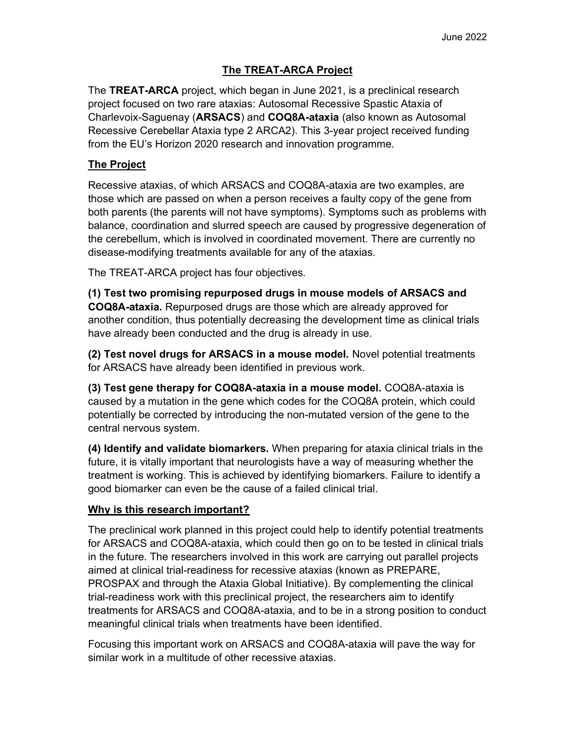## The TREAT-ARCA Project

The TREAT-ARCA project, which began in June 2021, is a preclinical research project focused on two rare ataxias: Autosomal Recessive Spastic Ataxia of Charlevoix-Saguenay (ARSACS) and COQ8A-ataxia (also known as Autosomal Recessive Cerebellar Ataxia type 2 ARCA2). This 3-year project received funding from the EU's Horizon 2020 research and innovation programme.

### **The Project**

Recessive ataxias, of which ARSACS and COQ8A-ataxia are two examples, are those which are passed on when a person receives a faulty copy of the gene from both parents (the parents will not have symptoms). Symptoms such as problems with balance, coordination and slurred speech are caused by progressive degeneration of the cerebellum, which is involved in coordinated movement. There are currently no disease-modifying treatments available for any of the ataxias.

The TREAT-ARCA project has four objectives.

(1) Test two promising repurposed drugs in mouse models of ARSACS and COQ8A-ataxia. Repurposed drugs are those which are already approved for another condition, thus potentially decreasing the development time as clinical trials have already been conducted and the drug is already in use.

(2) Test novel drugs for ARSACS in a mouse model. Novel potential treatments for ARSACS have already been identified in previous work.

(3) Test gene therapy for COQ8A-ataxia in a mouse model. COQ8A-ataxia is caused by a mutation in the gene which codes for the COQ8A protein, which could potentially be corrected by introducing the non-mutated version of the gene to the central nervous system.

(4) Identify and validate biomarkers. When preparing for ataxia clinical trials in the future, it is vitally important that neurologists have a way of measuring whether the treatment is working. This is achieved by identifying biomarkers. Failure to identify a good biomarker can even be the cause of a failed clinical trial.

### Why is this research important?

The preclinical work planned in this project could help to identify potential treatments for ARSACS and COQ8A-ataxia, which could then go on to be tested in clinical trials in the future. The researchers involved in this work are carrying out parallel projects aimed at clinical trial-readiness for recessive ataxias (known as PREPARE, PROSPAX and through the Ataxia Global Initiative). By complementing the clinical trial-readiness work with this preclinical project, the researchers aim to identify treatments for ARSACS and COQ8A-ataxia, and to be in a strong position to conduct meaningful clinical trials when treatments have been identified.

Focusing this important work on ARSACS and COQ8A-ataxia will pave the way for similar work in a multitude of other recessive ataxias.